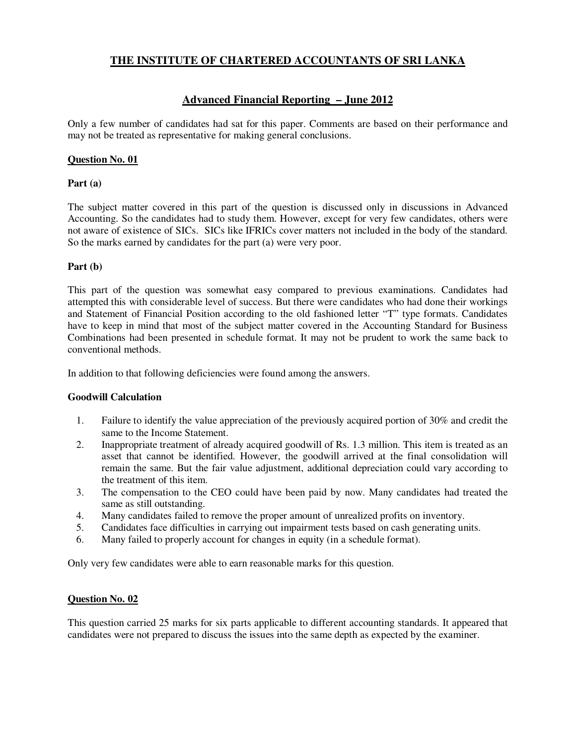## **THE INSTITUTE OF CHARTERED ACCOUNTANTS OF SRI LANKA**

# **Advanced Financial Reporting – June 2012**

Only a few number of candidates had sat for this paper. Comments are based on their performance and may not be treated as representative for making general conclusions.

#### **Question No. 01**

#### **Part (a)**

The subject matter covered in this part of the question is discussed only in discussions in Advanced Accounting. So the candidates had to study them. However, except for very few candidates, others were not aware of existence of SICs. SICs like IFRICs cover matters not included in the body of the standard. So the marks earned by candidates for the part (a) were very poor.

### **Part (b)**

This part of the question was somewhat easy compared to previous examinations. Candidates had attempted this with considerable level of success. But there were candidates who had done their workings and Statement of Financial Position according to the old fashioned letter "T" type formats. Candidates have to keep in mind that most of the subject matter covered in the Accounting Standard for Business Combinations had been presented in schedule format. It may not be prudent to work the same back to conventional methods.

In addition to that following deficiencies were found among the answers.

#### **Goodwill Calculation**

- 1. Failure to identify the value appreciation of the previously acquired portion of 30% and credit the same to the Income Statement.
- 2. Inappropriate treatment of already acquired goodwill of Rs. 1.3 million. This item is treated as an asset that cannot be identified. However, the goodwill arrived at the final consolidation will remain the same. But the fair value adjustment, additional depreciation could vary according to the treatment of this item.
- 3. The compensation to the CEO could have been paid by now. Many candidates had treated the same as still outstanding.
- 4. Many candidates failed to remove the proper amount of unrealized profits on inventory.
- 5. Candidates face difficulties in carrying out impairment tests based on cash generating units.
- 6. Many failed to properly account for changes in equity (in a schedule format).

Only very few candidates were able to earn reasonable marks for this question.

#### **Question No. 02**

This question carried 25 marks for six parts applicable to different accounting standards. It appeared that candidates were not prepared to discuss the issues into the same depth as expected by the examiner.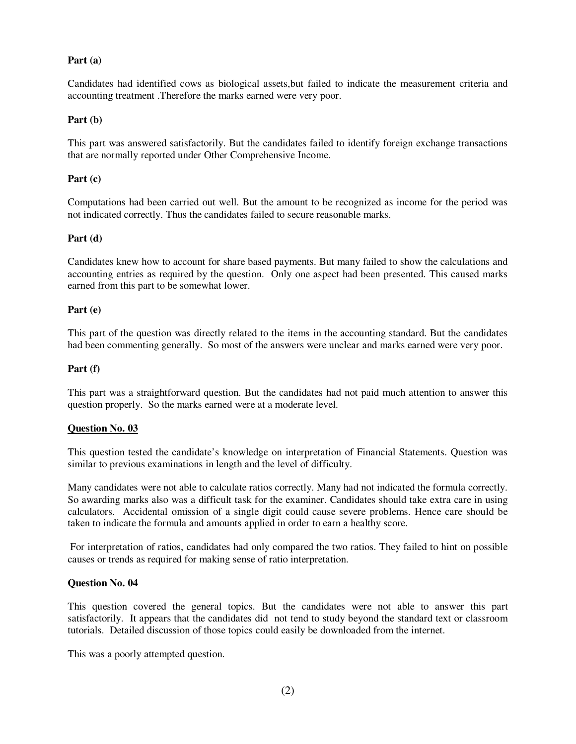#### **Part (a)**

Candidates had identified cows as biological assets,but failed to indicate the measurement criteria and accounting treatment .Therefore the marks earned were very poor.

#### **Part (b)**

This part was answered satisfactorily. But the candidates failed to identify foreign exchange transactions that are normally reported under Other Comprehensive Income.

#### **Part (c)**

Computations had been carried out well. But the amount to be recognized as income for the period was not indicated correctly. Thus the candidates failed to secure reasonable marks.

#### **Part (d)**

Candidates knew how to account for share based payments. But many failed to show the calculations and accounting entries as required by the question. Only one aspect had been presented. This caused marks earned from this part to be somewhat lower.

#### **Part (e)**

This part of the question was directly related to the items in the accounting standard. But the candidates had been commenting generally. So most of the answers were unclear and marks earned were very poor.

#### **Part (f)**

This part was a straightforward question. But the candidates had not paid much attention to answer this question properly. So the marks earned were at a moderate level.

#### **Question No. 03**

This question tested the candidate's knowledge on interpretation of Financial Statements. Question was similar to previous examinations in length and the level of difficulty.

Many candidates were not able to calculate ratios correctly. Many had not indicated the formula correctly. So awarding marks also was a difficult task for the examiner. Candidates should take extra care in using calculators. Accidental omission of a single digit could cause severe problems. Hence care should be taken to indicate the formula and amounts applied in order to earn a healthy score.

 For interpretation of ratios, candidates had only compared the two ratios. They failed to hint on possible causes or trends as required for making sense of ratio interpretation.

#### **Question No. 04**

This question covered the general topics. But the candidates were not able to answer this part satisfactorily. It appears that the candidates did not tend to study beyond the standard text or classroom tutorials. Detailed discussion of those topics could easily be downloaded from the internet.

This was a poorly attempted question.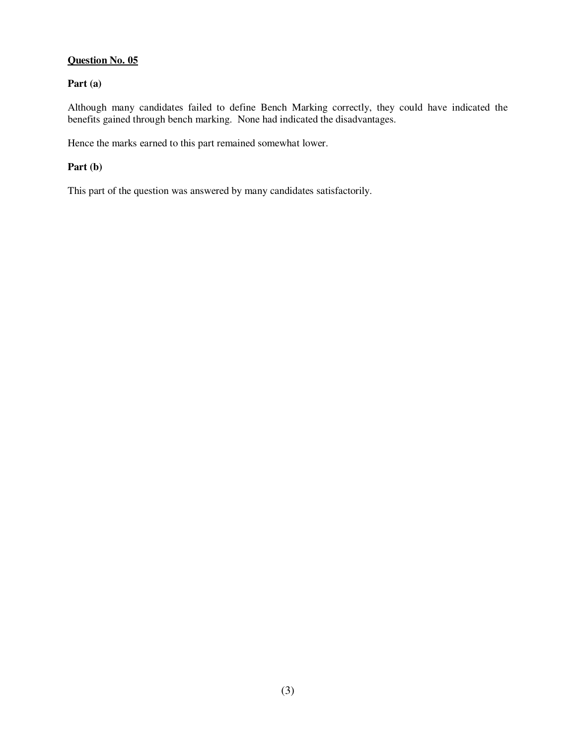### **Question No. 05**

# **Part (a)**

Although many candidates failed to define Bench Marking correctly, they could have indicated the benefits gained through bench marking. None had indicated the disadvantages.

Hence the marks earned to this part remained somewhat lower.

#### **Part (b)**

This part of the question was answered by many candidates satisfactorily.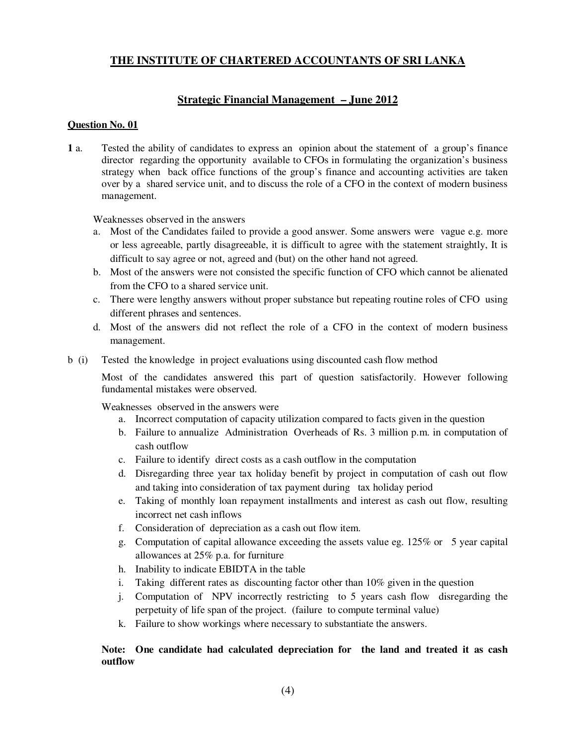# **THE INSTITUTE OF CHARTERED ACCOUNTANTS OF SRI LANKA**

## **Strategic Financial Management – June 2012**

#### **Question No. 01**

**1** a. Tested the ability of candidates to express an opinion about the statement of a group's finance director regarding the opportunity available to CFOs in formulating the organization's business strategy when back office functions of the group's finance and accounting activities are taken over by a shared service unit, and to discuss the role of a CFO in the context of modern business management.

Weaknesses observed in the answers

- a. Most of the Candidates failed to provide a good answer. Some answers were vague e.g. more or less agreeable, partly disagreeable, it is difficult to agree with the statement straightly, It is difficult to say agree or not, agreed and (but) on the other hand not agreed.
- b. Most of the answers were not consisted the specific function of CFO which cannot be alienated from the CFO to a shared service unit.
- c. There were lengthy answers without proper substance but repeating routine roles of CFO using different phrases and sentences.
- d. Most of the answers did not reflect the role of a CFO in the context of modern business management.
- b (i) Tested the knowledge in project evaluations using discounted cash flow method

Most of the candidates answered this part of question satisfactorily. However following fundamental mistakes were observed.

Weaknesses observed in the answers were

- a. Incorrect computation of capacity utilization compared to facts given in the question
- b. Failure to annualize Administration Overheads of Rs. 3 million p.m. in computation of cash outflow
- c. Failure to identify direct costs as a cash outflow in the computation
- d. Disregarding three year tax holiday benefit by project in computation of cash out flow and taking into consideration of tax payment during tax holiday period
- e. Taking of monthly loan repayment installments and interest as cash out flow, resulting incorrect net cash inflows
- f. Consideration of depreciation as a cash out flow item.
- g. Computation of capital allowance exceeding the assets value eg. 125% or 5 year capital allowances at 25% p.a. for furniture
- h. Inability to indicate EBIDTA in the table
- i. Taking different rates as discounting factor other than 10% given in the question
- j. Computation of NPV incorrectly restricting to 5 years cash flow disregarding the perpetuity of life span of the project. (failure to compute terminal value)
- k. Failure to show workings where necessary to substantiate the answers.

#### **Note: One candidate had calculated depreciation for the land and treated it as cash outflow**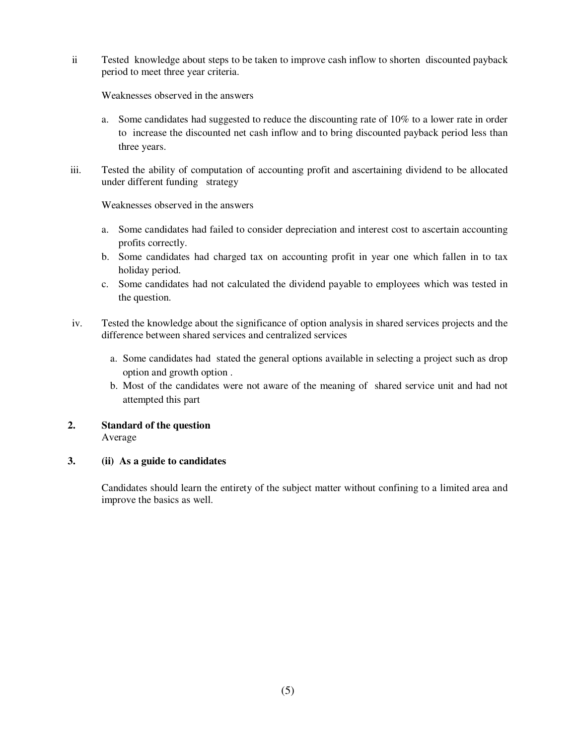ii Tested knowledge about steps to be taken to improve cash inflow to shorten discounted payback period to meet three year criteria.

Weaknesses observed in the answers

- a. Some candidates had suggested to reduce the discounting rate of  $10\%$  to a lower rate in order to increase the discounted net cash inflow and to bring discounted payback period less than three years.
- iii. Tested the ability of computation of accounting profit and ascertaining dividend to be allocated under different funding strategy

Weaknesses observed in the answers

- a. Some candidates had failed to consider depreciation and interest cost to ascertain accounting profits correctly.
- b. Some candidates had charged tax on accounting profit in year one which fallen in to tax holiday period.
- c. Some candidates had not calculated the dividend payable to employees which was tested in the question.
- iv. Tested the knowledge about the significance of option analysis in shared services projects and the difference between shared services and centralized services
	- a. Some candidates had stated the general options available in selecting a project such as drop option and growth option .
	- b. Most of the candidates were not aware of the meaning of shared service unit and had not attempted this part

#### **2. Standard of the question**  Average

## **3. (ii) As a guide to candidates**

Candidates should learn the entirety of the subject matter without confining to a limited area and improve the basics as well.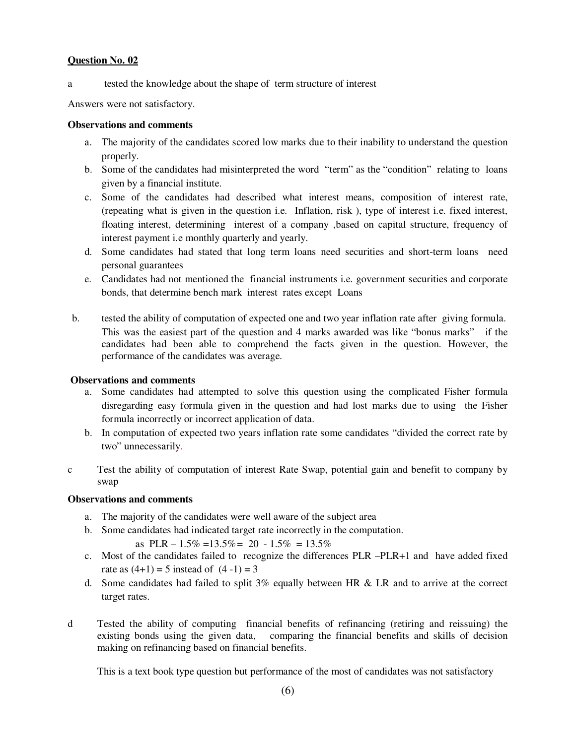#### **Question No. 02**

a tested the knowledge about the shape of term structure of interest

Answers were not satisfactory.

#### **Observations and comments**

- a. The majority of the candidates scored low marks due to their inability to understand the question properly.
- b. Some of the candidates had misinterpreted the word "term" as the "condition" relating to loans given by a financial institute.
- c. Some of the candidates had described what interest means, composition of interest rate, (repeating what is given in the question i.e. Inflation, risk ), type of interest i.e. fixed interest, floating interest, determining interest of a company ,based on capital structure, frequency of interest payment i.e monthly quarterly and yearly.
- d. Some candidates had stated that long term loans need securities and short-term loans need personal guarantees
- e. Candidates had not mentioned the financial instruments i.e. government securities and corporate bonds, that determine bench mark interest rates except Loans
- b. tested the ability of computation of expected one and two year inflation rate after giving formula. This was the easiest part of the question and 4 marks awarded was like "bonus marks" if the candidates had been able to comprehend the facts given in the question. However, the performance of the candidates was average.

#### **Observations and comments**

- a. Some candidates had attempted to solve this question using the complicated Fisher formula disregarding easy formula given in the question and had lost marks due to using the Fisher formula incorrectly or incorrect application of data.
- b. In computation of expected two years inflation rate some candidates "divided the correct rate by two" unnecessarily.
- c Test the ability of computation of interest Rate Swap, potential gain and benefit to company by swap

#### **Observations and comments**

- a. The majority of the candidates were well aware of the subject area
- b. Some candidates had indicated target rate incorrectly in the computation.

as 
$$
PLR - 1.5\% = 13.5\% = 20 - 1.5\% = 13.5\%
$$

- c. Most of the candidates failed to recognize the differences PLR –PLR+1 and have added fixed rate as  $(4+1) = 5$  instead of  $(4-1) = 3$
- d. Some candidates had failed to split  $3\%$  equally between HR & LR and to arrive at the correct target rates.
- d Tested the ability of computing financial benefits of refinancing (retiring and reissuing) the comparing the financial benefits and skills of decision making on refinancing based on financial benefits.

This is a text book type question but performance of the most of candidates was not satisfactory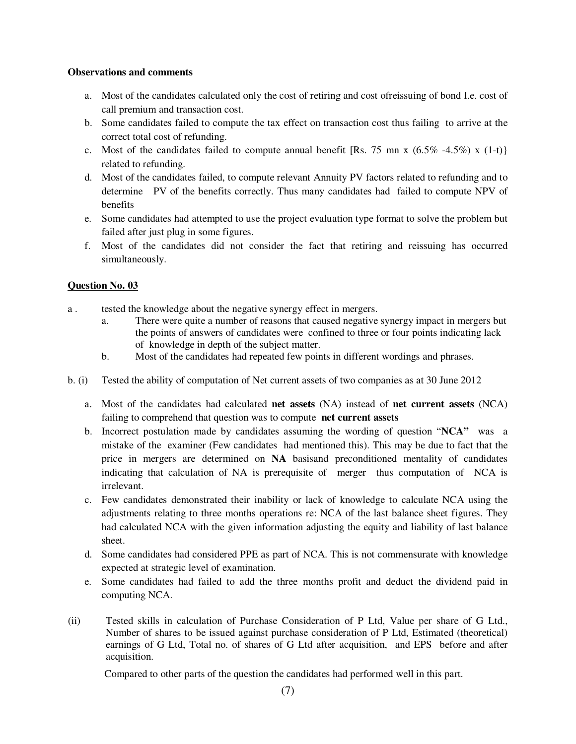#### **Observations and comments**

- a. Most of the candidates calculated only the cost of retiring and cost ofreissuing of bond I.e. cost of call premium and transaction cost.
- b. Some candidates failed to compute the tax effect on transaction cost thus failing to arrive at the correct total cost of refunding.
- c. Most of the candidates failed to compute annual benefit [Rs. 75 mn x  $(6.5\% -4.5\%)$  x  $(1-t)$ ] related to refunding.
- d. Most of the candidates failed, to compute relevant Annuity PV factors related to refunding and to determine PV of the benefits correctly. Thus many candidates had failed to compute NPV of benefits
- e. Some candidates had attempted to use the project evaluation type format to solve the problem but failed after just plug in some figures.
- f. Most of the candidates did not consider the fact that retiring and reissuing has occurred simultaneously.

#### **Question No. 03**

- a . tested the knowledge about the negative synergy effect in mergers.
	- a. There were quite a number of reasons that caused negative synergy impact in mergers but the points of answers of candidates were confined to three or four points indicating lack of knowledge in depth of the subject matter.
	- b. Most of the candidates had repeated few points in different wordings and phrases.
- b. (i) Tested the ability of computation of Net current assets of two companies as at 30 June 2012
	- a. Most of the candidates had calculated **net assets** (NA) instead of **net current assets** (NCA) failing to comprehend that question was to compute **net current assets**
	- b. Incorrect postulation made by candidates assuming the wording of question "**NCA"** was a mistake of the examiner (Few candidates had mentioned this). This may be due to fact that the price in mergers are determined on **NA** basisand preconditioned mentality of candidates indicating that calculation of NA is prerequisite of merger thus computation of NCA is irrelevant.
	- c. Few candidates demonstrated their inability or lack of knowledge to calculate NCA using the adjustments relating to three months operations re: NCA of the last balance sheet figures. They had calculated NCA with the given information adjusting the equity and liability of last balance sheet.
	- d. Some candidates had considered PPE as part of NCA. This is not commensurate with knowledge expected at strategic level of examination.
	- e. Some candidates had failed to add the three months profit and deduct the dividend paid in computing NCA.
- (ii) Tested skills in calculation of Purchase Consideration of P Ltd, Value per share of G Ltd., Number of shares to be issued against purchase consideration of P Ltd, Estimated (theoretical) earnings of G Ltd, Total no. of shares of G Ltd after acquisition, and EPS before and after acquisition.

Compared to other parts of the question the candidates had performed well in this part.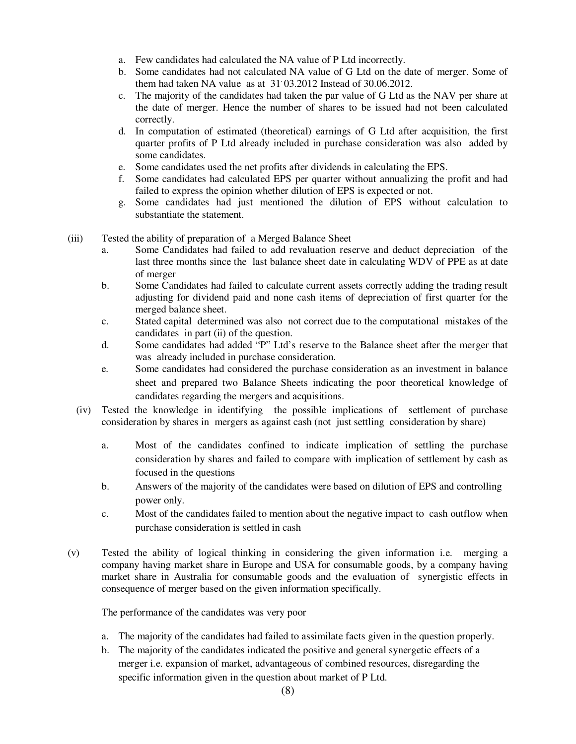- a. Few candidates had calculated the NA value of P Ltd incorrectly.
- b. Some candidates had not calculated NA value of G Ltd on the date of merger. Some of them had taken NA value as at 31. 03.2012 Instead of 30.06.2012.
- c. The majority of the candidates had taken the par value of G Ltd as the NAV per share at the date of merger. Hence the number of shares to be issued had not been calculated correctly.
- d. In computation of estimated (theoretical) earnings of G Ltd after acquisition, the first quarter profits of P Ltd already included in purchase consideration was also added by some candidates.
- e. Some candidates used the net profits after dividends in calculating the EPS.
- f. Some candidates had calculated EPS per quarter without annualizing the profit and had failed to express the opinion whether dilution of EPS is expected or not.
- g. Some candidates had just mentioned the dilution of EPS without calculation to substantiate the statement.
- (iii) Tested the ability of preparation of a Merged Balance Sheet
	- a. Some Candidates had failed to add revaluation reserve and deduct depreciation of the last three months since the last balance sheet date in calculating WDV of PPE as at date of merger
	- b. Some Candidates had failed to calculate current assets correctly adding the trading result adjusting for dividend paid and none cash items of depreciation of first quarter for the merged balance sheet.
	- c. Stated capital determined was also not correct due to the computational mistakes of the candidates in part (ii) of the question.
	- d. Some candidates had added "P" Ltd's reserve to the Balance sheet after the merger that was already included in purchase consideration.
	- e. Some candidates had considered the purchase consideration as an investment in balance sheet and prepared two Balance Sheets indicating the poor theoretical knowledge of candidates regarding the mergers and acquisitions.
	- (iv) Tested the knowledge in identifying the possible implications of settlement of purchase consideration by shares in mergers as against cash (not just settling consideration by share)
		- a. Most of the candidates confined to indicate implication of settling the purchase consideration by shares and failed to compare with implication of settlement by cash as focused in the questions
		- b. Answers of the majority of the candidates were based on dilution of EPS and controlling power only.
		- c. Most of the candidates failed to mention about the negative impact to cash outflow when purchase consideration is settled in cash
- (v) Tested the ability of logical thinking in considering the given information i.e. merging a company having market share in Europe and USA for consumable goods, by a company having market share in Australia for consumable goods and the evaluation of synergistic effects in consequence of merger based on the given information specifically.

The performance of the candidates was very poor

- a. The majority of the candidates had failed to assimilate facts given in the question properly.
- b. The majority of the candidates indicated the positive and general synergetic effects of a merger i.e. expansion of market, advantageous of combined resources, disregarding the specific information given in the question about market of P Ltd.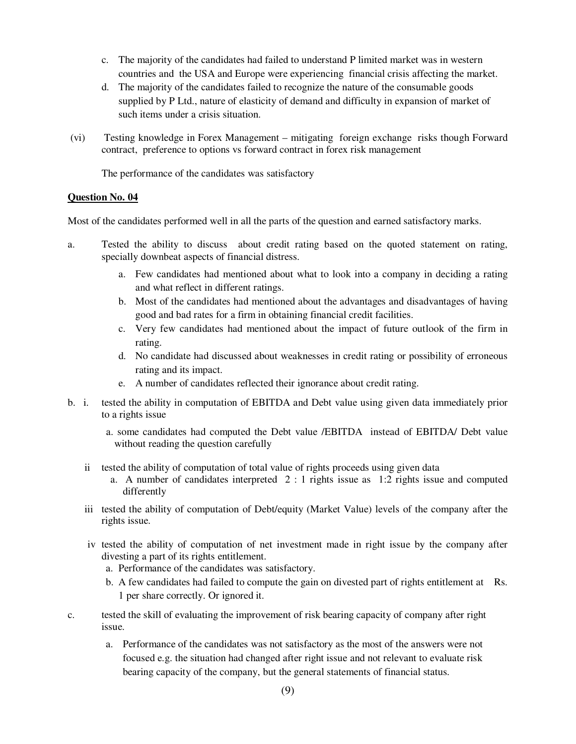- c. The majority of the candidates had failed to understand P limited market was in western countries and the USA and Europe were experiencing financial crisis affecting the market.
- d. The majority of the candidates failed to recognize the nature of the consumable goods supplied by P Ltd., nature of elasticity of demand and difficulty in expansion of market of such items under a crisis situation.
- (vi) Testing knowledge in Forex Management mitigating foreign exchange risks though Forward contract, preference to options vs forward contract in forex risk management

The performance of the candidates was satisfactory

#### **Question No. 04**

Most of the candidates performed well in all the parts of the question and earned satisfactory marks.

- a. Tested the ability to discuss about credit rating based on the quoted statement on rating, specially downbeat aspects of financial distress.
	- a. Few candidates had mentioned about what to look into a company in deciding a rating and what reflect in different ratings.
	- b. Most of the candidates had mentioned about the advantages and disadvantages of having good and bad rates for a firm in obtaining financial credit facilities.
	- c. Very few candidates had mentioned about the impact of future outlook of the firm in rating.
	- d. No candidate had discussed about weaknesses in credit rating or possibility of erroneous rating and its impact.
	- e. A number of candidates reflected their ignorance about credit rating.
- b. i. tested the ability in computation of EBITDA and Debt value using given data immediately prior to a rights issue
	- a. some candidates had computed the Debt value /EBITDA instead of EBITDA/ Debt value without reading the question carefully
	- ii tested the ability of computation of total value of rights proceeds using given data
		- a. A number of candidates interpreted  $2:1$  rights issue as 1:2 rights issue and computed differently
	- iii tested the ability of computation of Debt/equity (Market Value) levels of the company after the rights issue.
	- iv tested the ability of computation of net investment made in right issue by the company after divesting a part of its rights entitlement.
		- a. Performance of the candidates was satisfactory.
		- b. A few candidates had failed to compute the gain on divested part of rights entitlement at Rs. 1 per share correctly. Or ignored it.
- c. tested the skill of evaluating the improvement of risk bearing capacity of company after right issue.
	- a. Performance of the candidates was not satisfactory as the most of the answers were not focused e.g. the situation had changed after right issue and not relevant to evaluate risk bearing capacity of the company, but the general statements of financial status.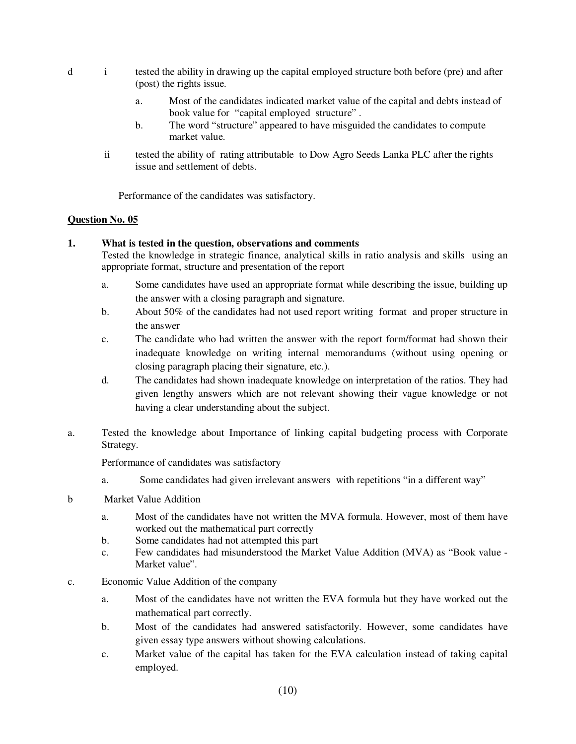- d i tested the ability in drawing up the capital employed structure both before (pre) and after (post) the rights issue.
	- a. Most of the candidates indicated market value of the capital and debts instead of book value for "capital employed structure" .
	- b. The word "structure" appeared to have misguided the candidates to compute market value.
	- ii tested the ability of rating attributable to Dow Agro Seeds Lanka PLC after the rights issue and settlement of debts.

Performance of the candidates was satisfactory.

### **Question No. 05**

### **1. What is tested in the question, observations and comments**

Tested the knowledge in strategic finance, analytical skills in ratio analysis and skills using an appropriate format, structure and presentation of the report

- a. Some candidates have used an appropriate format while describing the issue, building up the answer with a closing paragraph and signature.
- b. About 50% of the candidates had not used report writing format and proper structure in the answer
- c. The candidate who had written the answer with the report form/format had shown their inadequate knowledge on writing internal memorandums (without using opening or closing paragraph placing their signature, etc.).
- d. The candidates had shown inadequate knowledge on interpretation of the ratios. They had given lengthy answers which are not relevant showing their vague knowledge or not having a clear understanding about the subject.
- a. Tested the knowledge about Importance of linking capital budgeting process with Corporate Strategy.

Performance of candidates was satisfactory

- a. Some candidates had given irrelevant answers with repetitions "in a different way"
- b Market Value Addition
	- a. Most of the candidates have not written the MVA formula. However, most of them have worked out the mathematical part correctly
	- b. Some candidates had not attempted this part
	- c. Few candidates had misunderstood the Market Value Addition (MVA) as "Book value Market value".
- c. Economic Value Addition of the company
	- a. Most of the candidates have not written the EVA formula but they have worked out the mathematical part correctly.
	- b. Most of the candidates had answered satisfactorily. However, some candidates have given essay type answers without showing calculations.
	- c. Market value of the capital has taken for the EVA calculation instead of taking capital employed.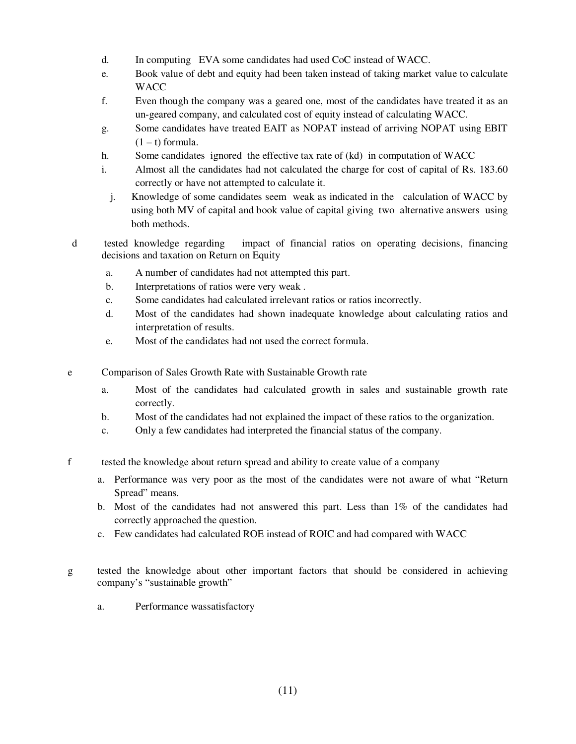- d. In computing EVA some candidates had used CoC instead of WACC.
- e. Book value of debt and equity had been taken instead of taking market value to calculate **WACC**
- f. Even though the company was a geared one, most of the candidates have treated it as an un-geared company, and calculated cost of equity instead of calculating WACC.
- g. Some candidates have treated EAIT as NOPAT instead of arriving NOPAT using EBIT  $(1 - t)$  formula.
- h. Some candidates ignored the effective tax rate of (kd) in computation of WACC
- i. Almost all the candidates had not calculated the charge for cost of capital of Rs. 183.60 correctly or have not attempted to calculate it.
	- j. Knowledge of some candidates seem weak as indicated in the calculation of WACC by using both MV of capital and book value of capital giving two alternative answers using both methods.
- d tested knowledge regarding impact of financial ratios on operating decisions, financing decisions and taxation on Return on Equity
	- a. A number of candidates had not attempted this part.
	- b. Interpretations of ratios were very weak .
	- c. Some candidates had calculated irrelevant ratios or ratios incorrectly.
	- d. Most of the candidates had shown inadequate knowledge about calculating ratios and interpretation of results.
	- e. Most of the candidates had not used the correct formula.
- e Comparison of Sales Growth Rate with Sustainable Growth rate
	- a. Most of the candidates had calculated growth in sales and sustainable growth rate correctly.
	- b. Most of the candidates had not explained the impact of these ratios to the organization.
	- c. Only a few candidates had interpreted the financial status of the company.
- f tested the knowledge about return spread and ability to create value of a company
	- a. Performance was very poor as the most of the candidates were not aware of what "Return Spread" means.
	- b. Most of the candidates had not answered this part. Less than 1% of the candidates had correctly approached the question.
	- c. Few candidates had calculated ROE instead of ROIC and had compared with WACC
- g tested the knowledge about other important factors that should be considered in achieving company's "sustainable growth"
	- a. Performance wassatisfactory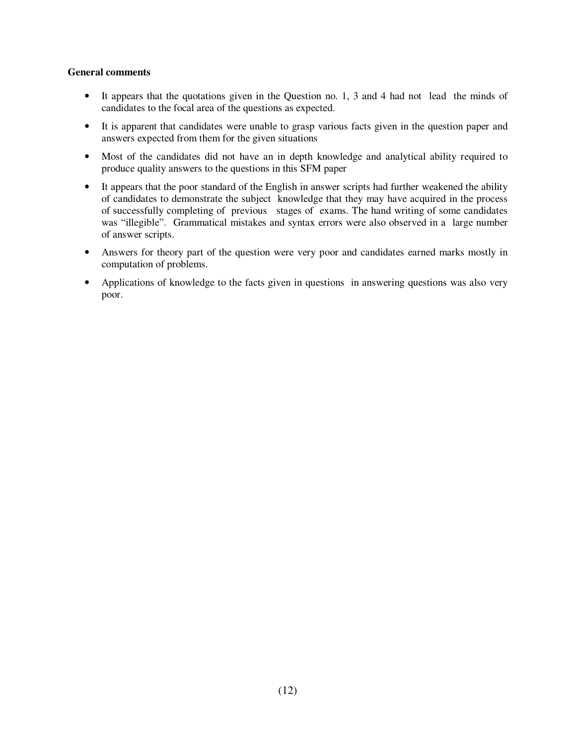#### **General comments**

- It appears that the quotations given in the Question no. 1, 3 and 4 had not lead the minds of candidates to the focal area of the questions as expected.
- It is apparent that candidates were unable to grasp various facts given in the question paper and answers expected from them for the given situations
- Most of the candidates did not have an in depth knowledge and analytical ability required to produce quality answers to the questions in this SFM paper
- It appears that the poor standard of the English in answer scripts had further weakened the ability of candidates to demonstrate the subject knowledge that they may have acquired in the process of successfully completing of previous stages of exams. The hand writing of some candidates was "illegible". Grammatical mistakes and syntax errors were also observed in a large number of answer scripts.
- Answers for theory part of the question were very poor and candidates earned marks mostly in computation of problems.
- Applications of knowledge to the facts given in questions in answering questions was also very poor.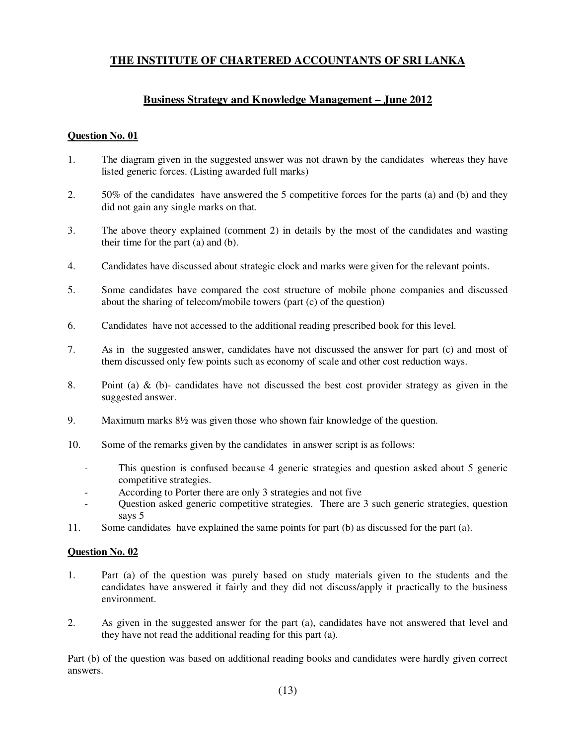# **THE INSTITUTE OF CHARTERED ACCOUNTANTS OF SRI LANKA**

## **Business Strategy and Knowledge Management – June 2012**

#### **Question No. 01**

- 1. The diagram given in the suggested answer was not drawn by the candidates whereas they have listed generic forces. (Listing awarded full marks)
- 2. 50% of the candidates have answered the 5 competitive forces for the parts (a) and (b) and they did not gain any single marks on that.
- 3. The above theory explained (comment 2) in details by the most of the candidates and wasting their time for the part (a) and (b).
- 4. Candidates have discussed about strategic clock and marks were given for the relevant points.
- 5. Some candidates have compared the cost structure of mobile phone companies and discussed about the sharing of telecom/mobile towers (part (c) of the question)
- 6. Candidates have not accessed to the additional reading prescribed book for this level.
- 7. As in the suggested answer, candidates have not discussed the answer for part (c) and most of them discussed only few points such as economy of scale and other cost reduction ways.
- 8. Point (a)  $\&$  (b)- candidates have not discussed the best cost provider strategy as given in the suggested answer.
- 9. Maximum marks  $8\frac{1}{2}$  was given those who shown fair knowledge of the question.
- 10. Some of the remarks given by the candidates in answer script is as follows:
	- This question is confused because 4 generic strategies and question asked about 5 generic competitive strategies.
	- According to Porter there are only 3 strategies and not five
	- Question asked generic competitive strategies. There are 3 such generic strategies, question says 5
- 11. Some candidates have explained the same points for part (b) as discussed for the part (a).

#### **Question No. 02**

- 1. Part (a) of the question was purely based on study materials given to the students and the candidates have answered it fairly and they did not discuss/apply it practically to the business environment.
- 2. As given in the suggested answer for the part (a), candidates have not answered that level and they have not read the additional reading for this part (a).

Part (b) of the question was based on additional reading books and candidates were hardly given correct answers.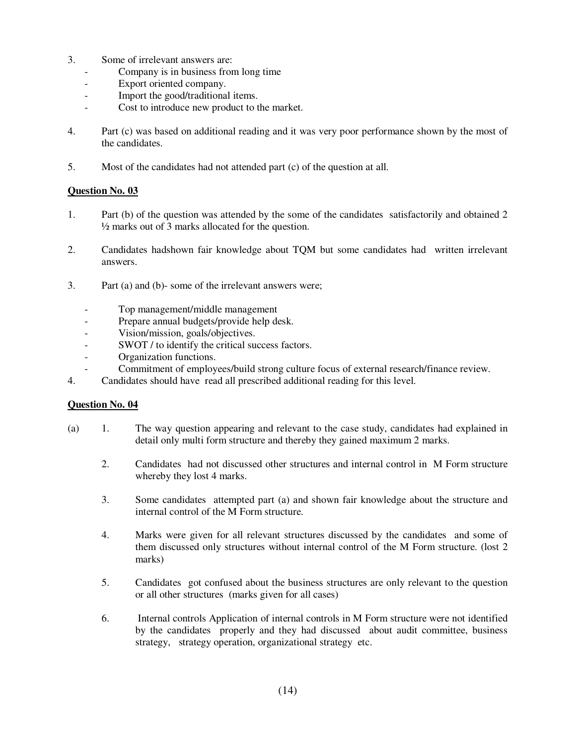- 3. Some of irrelevant answers are:
	- Company is in business from long time
	- Export oriented company.
	- Import the good/traditional items.
	- Cost to introduce new product to the market.
- 4. Part (c) was based on additional reading and it was very poor performance shown by the most of the candidates.
- 5. Most of the candidates had not attended part (c) of the question at all.

### **Question No. 03**

- 1. Part (b) of the question was attended by the some of the candidates satisfactorily and obtained 2 ½ marks out of 3 marks allocated for the question.
- 2. Candidates hadshown fair knowledge about TQM but some candidates had written irrelevant answers.
- 3. Part (a) and (b)- some of the irrelevant answers were;
	- Top management/middle management
	- Prepare annual budgets/provide help desk.
	- Vision/mission, goals/objectives.
	- SWOT / to identify the critical success factors.
	- Organization functions.
	- Commitment of employees/build strong culture focus of external research/finance review.
- 4. Candidates should have read all prescribed additional reading for this level.

#### **Question No. 04**

- (a) 1. The way question appearing and relevant to the case study, candidates had explained in detail only multi form structure and thereby they gained maximum 2 marks.
	- 2. Candidates had not discussed other structures and internal control in M Form structure whereby they lost 4 marks.
	- 3. Some candidates attempted part (a) and shown fair knowledge about the structure and internal control of the M Form structure.
	- 4. Marks were given for all relevant structures discussed by the candidates and some of them discussed only structures without internal control of the M Form structure. (lost 2 marks)
	- 5. Candidates got confused about the business structures are only relevant to the question or all other structures (marks given for all cases)
	- 6. Internal controls Application of internal controls in M Form structure were not identified by the candidates properly and they had discussed about audit committee, business strategy, strategy operation, organizational strategy etc.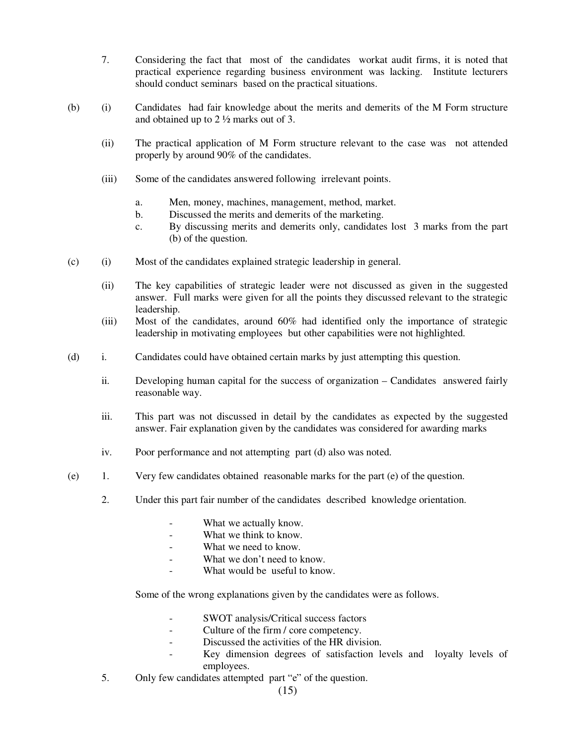- 7. Considering the fact that most of the candidates workat audit firms, it is noted that practical experience regarding business environment was lacking. Institute lecturers should conduct seminars based on the practical situations.
- (b) (i) Candidates had fair knowledge about the merits and demerits of the M Form structure and obtained up to 2 ½ marks out of 3.
	- (ii) The practical application of M Form structure relevant to the case was not attended properly by around 90% of the candidates.
	- (iii) Some of the candidates answered following irrelevant points.
		- a. Men, money, machines, management, method, market.
		- b. Discussed the merits and demerits of the marketing.
		- c. By discussing merits and demerits only, candidates lost 3 marks from the part (b) of the question.
- (c) (i) Most of the candidates explained strategic leadership in general.
	- (ii) The key capabilities of strategic leader were not discussed as given in the suggested answer. Full marks were given for all the points they discussed relevant to the strategic leadership.
	- (iii) Most of the candidates, around 60% had identified only the importance of strategic leadership in motivating employees but other capabilities were not highlighted.
- (d) i. Candidates could have obtained certain marks by just attempting this question.
	- ii. Developing human capital for the success of organization Candidates answered fairly reasonable way.
	- iii. This part was not discussed in detail by the candidates as expected by the suggested answer. Fair explanation given by the candidates was considered for awarding marks
	- iv. Poor performance and not attempting part (d) also was noted.
- (e) 1. Very few candidates obtained reasonable marks for the part (e) of the question.
	- 2. Under this part fair number of the candidates described knowledge orientation.
		- What we actually know.
		- What we think to know.
		- What we need to know.
		- What we don't need to know.
		- What would be useful to know.

Some of the wrong explanations given by the candidates were as follows.

- SWOT analysis/Critical success factors
- Culture of the firm / core competency.
- Discussed the activities of the HR division.
- Key dimension degrees of satisfaction levels and loyalty levels of employees.
- 5. Only few candidates attempted part "e" of the question.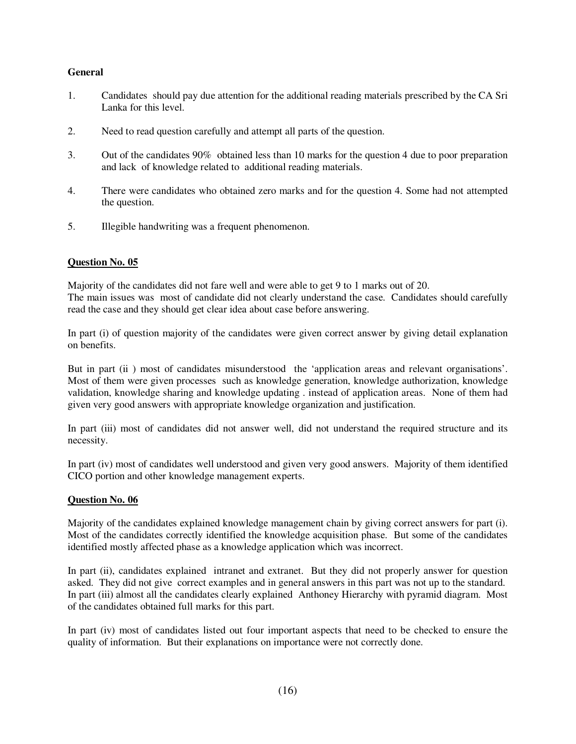### **General**

- 1. Candidates should pay due attention for the additional reading materials prescribed by the CA Sri Lanka for this level.
- 2. Need to read question carefully and attempt all parts of the question.
- 3. Out of the candidates 90% obtained less than 10 marks for the question 4 due to poor preparation and lack of knowledge related to additional reading materials.
- 4. There were candidates who obtained zero marks and for the question 4. Some had not attempted the question.
- 5. Illegible handwriting was a frequent phenomenon.

#### **Question No. 05**

Majority of the candidates did not fare well and were able to get 9 to 1 marks out of 20. The main issues was most of candidate did not clearly understand the case. Candidates should carefully read the case and they should get clear idea about case before answering.

In part (i) of question majority of the candidates were given correct answer by giving detail explanation on benefits.

But in part (ii) most of candidates misunderstood the 'application areas and relevant organisations'. Most of them were given processes such as knowledge generation, knowledge authorization, knowledge validation, knowledge sharing and knowledge updating . instead of application areas. None of them had given very good answers with appropriate knowledge organization and justification.

In part (iii) most of candidates did not answer well, did not understand the required structure and its necessity.

In part (iv) most of candidates well understood and given very good answers. Majority of them identified CICO portion and other knowledge management experts.

#### **Question No. 06**

Majority of the candidates explained knowledge management chain by giving correct answers for part (i). Most of the candidates correctly identified the knowledge acquisition phase. But some of the candidates identified mostly affected phase as a knowledge application which was incorrect.

In part (ii), candidates explained intranet and extranet. But they did not properly answer for question asked. They did not give correct examples and in general answers in this part was not up to the standard. In part (iii) almost all the candidates clearly explained Anthoney Hierarchy with pyramid diagram. Most of the candidates obtained full marks for this part.

In part (iv) most of candidates listed out four important aspects that need to be checked to ensure the quality of information. But their explanations on importance were not correctly done.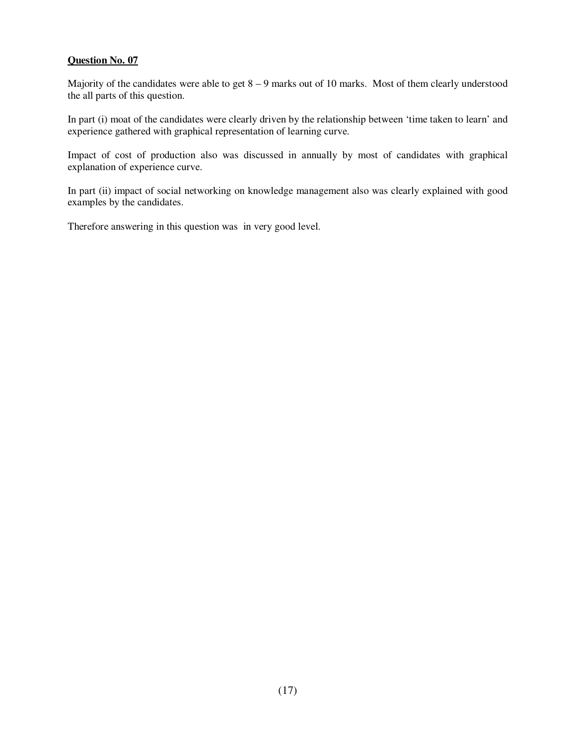#### **Question No. 07**

Majority of the candidates were able to get  $8 - 9$  marks out of 10 marks. Most of them clearly understood the all parts of this question.

In part (i) moat of the candidates were clearly driven by the relationship between 'time taken to learn' and experience gathered with graphical representation of learning curve.

Impact of cost of production also was discussed in annually by most of candidates with graphical explanation of experience curve.

In part (ii) impact of social networking on knowledge management also was clearly explained with good examples by the candidates.

Therefore answering in this question was in very good level.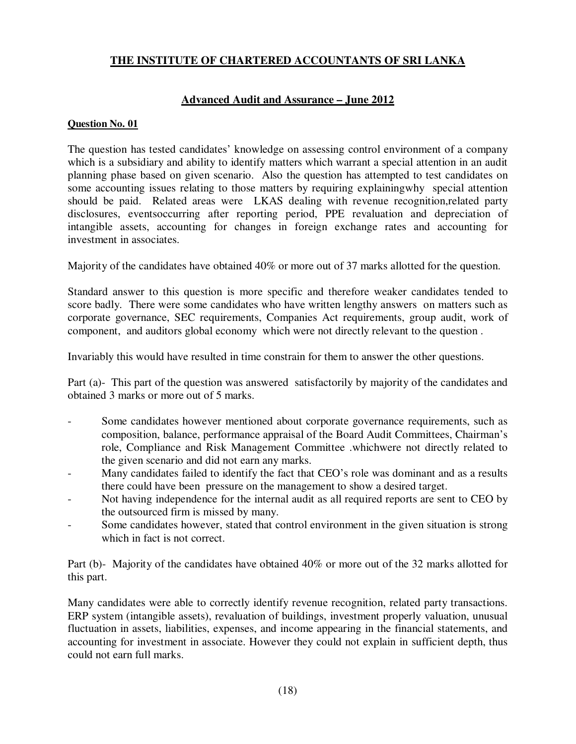# **THE INSTITUTE OF CHARTERED ACCOUNTANTS OF SRI LANKA**

# **Advanced Audit and Assurance – June 2012**

## **Question No. 01**

The question has tested candidates' knowledge on assessing control environment of a company which is a subsidiary and ability to identify matters which warrant a special attention in an audit planning phase based on given scenario. Also the question has attempted to test candidates on some accounting issues relating to those matters by requiring explainingwhy special attention should be paid. Related areas were LKAS dealing with revenue recognition,related party disclosures, eventsoccurring after reporting period, PPE revaluation and depreciation of intangible assets, accounting for changes in foreign exchange rates and accounting for investment in associates.

Majority of the candidates have obtained 40% or more out of 37 marks allotted for the question.

Standard answer to this question is more specific and therefore weaker candidates tended to score badly. There were some candidates who have written lengthy answers on matters such as corporate governance, SEC requirements, Companies Act requirements, group audit, work of component, and auditors global economy which were not directly relevant to the question .

Invariably this would have resulted in time constrain for them to answer the other questions.

Part (a)- This part of the question was answered satisfactorily by majority of the candidates and obtained 3 marks or more out of 5 marks.

- Some candidates however mentioned about corporate governance requirements, such as composition, balance, performance appraisal of the Board Audit Committees, Chairman's role, Compliance and Risk Management Committee .whichwere not directly related to the given scenario and did not earn any marks.
- Many candidates failed to identify the fact that CEO's role was dominant and as a results there could have been pressure on the management to show a desired target.
- Not having independence for the internal audit as all required reports are sent to CEO by the outsourced firm is missed by many.
- Some candidates however, stated that control environment in the given situation is strong which in fact is not correct.

Part (b)- Majority of the candidates have obtained 40% or more out of the 32 marks allotted for this part.

Many candidates were able to correctly identify revenue recognition, related party transactions. ERP system (intangible assets), revaluation of buildings, investment properly valuation, unusual fluctuation in assets, liabilities, expenses, and income appearing in the financial statements, and accounting for investment in associate. However they could not explain in sufficient depth, thus could not earn full marks.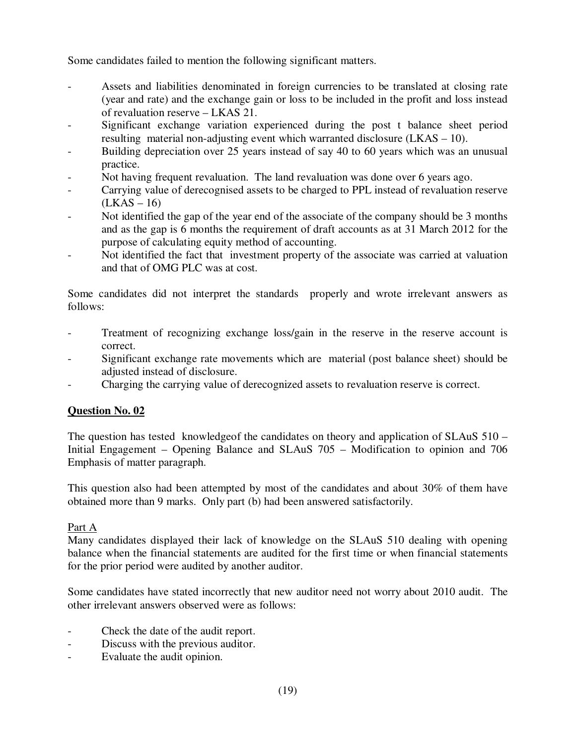Some candidates failed to mention the following significant matters.

- Assets and liabilities denominated in foreign currencies to be translated at closing rate (year and rate) and the exchange gain or loss to be included in the profit and loss instead of revaluation reserve – LKAS 21.
- Significant exchange variation experienced during the post t balance sheet period resulting material non-adjusting event which warranted disclosure (LKAS – 10).
- Building depreciation over 25 years instead of say 40 to 60 years which was an unusual practice.
- Not having frequent revaluation. The land revaluation was done over 6 years ago.
- Carrying value of derecognised assets to be charged to PPL instead of revaluation reserve  $(LKAS - 16)$
- Not identified the gap of the year end of the associate of the company should be 3 months and as the gap is 6 months the requirement of draft accounts as at 31 March 2012 for the purpose of calculating equity method of accounting.
- Not identified the fact that investment property of the associate was carried at valuation and that of OMG PLC was at cost.

Some candidates did not interpret the standards properly and wrote irrelevant answers as follows:

- Treatment of recognizing exchange loss/gain in the reserve in the reserve account is correct.
- Significant exchange rate movements which are material (post balance sheet) should be adjusted instead of disclosure.
- Charging the carrying value of derecognized assets to revaluation reserve is correct.

# **Question No. 02**

The question has tested knowledgeof the candidates on theory and application of SLAuS 510 – Initial Engagement – Opening Balance and SLAuS 705 – Modification to opinion and 706 Emphasis of matter paragraph.

This question also had been attempted by most of the candidates and about 30% of them have obtained more than 9 marks. Only part (b) had been answered satisfactorily.

# Part A

Many candidates displayed their lack of knowledge on the SLAuS 510 dealing with opening balance when the financial statements are audited for the first time or when financial statements for the prior period were audited by another auditor.

Some candidates have stated incorrectly that new auditor need not worry about 2010 audit. The other irrelevant answers observed were as follows:

- Check the date of the audit report.
- Discuss with the previous auditor.
- Evaluate the audit opinion.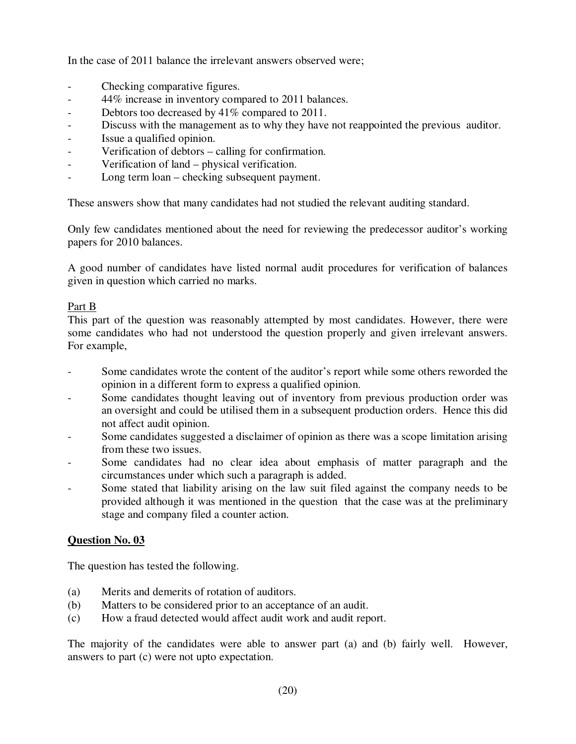In the case of 2011 balance the irrelevant answers observed were;

- Checking comparative figures.
- 44% increase in inventory compared to 2011 balances.
- Debtors too decreased by 41\% compared to 2011.
- Discuss with the management as to why they have not reappointed the previous auditor.
- Issue a qualified opinion.
- Verification of debtors calling for confirmation.
- Verification of land physical verification.
- Long term loan checking subsequent payment.

These answers show that many candidates had not studied the relevant auditing standard.

Only few candidates mentioned about the need for reviewing the predecessor auditor's working papers for 2010 balances.

A good number of candidates have listed normal audit procedures for verification of balances given in question which carried no marks.

# Part B

This part of the question was reasonably attempted by most candidates. However, there were some candidates who had not understood the question properly and given irrelevant answers. For example,

- Some candidates wrote the content of the auditor's report while some others reworded the opinion in a different form to express a qualified opinion.
- Some candidates thought leaving out of inventory from previous production order was an oversight and could be utilised them in a subsequent production orders. Hence this did not affect audit opinion.
- Some candidates suggested a disclaimer of opinion as there was a scope limitation arising from these two issues.
- Some candidates had no clear idea about emphasis of matter paragraph and the circumstances under which such a paragraph is added.
- Some stated that liability arising on the law suit filed against the company needs to be provided although it was mentioned in the question that the case was at the preliminary stage and company filed a counter action.

# **Question No. 03**

The question has tested the following.

- (a) Merits and demerits of rotation of auditors.
- (b) Matters to be considered prior to an acceptance of an audit.
- (c) How a fraud detected would affect audit work and audit report.

The majority of the candidates were able to answer part (a) and (b) fairly well. However, answers to part (c) were not upto expectation.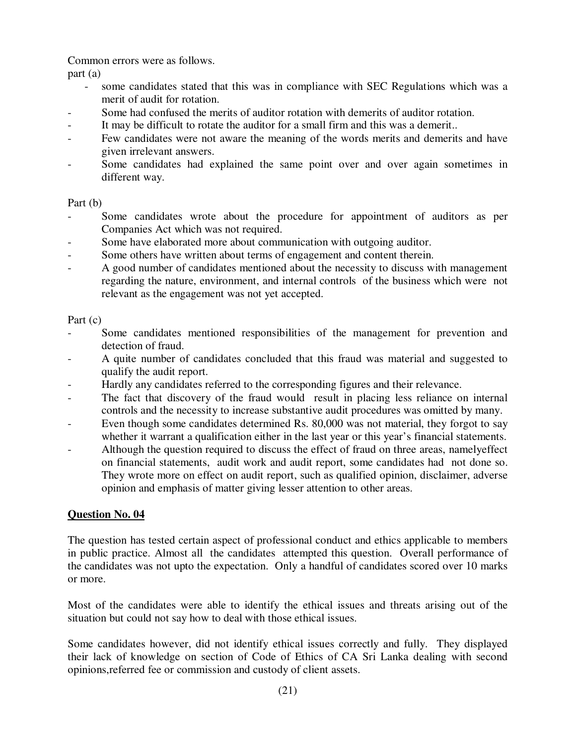Common errors were as follows.

part (a)

- some candidates stated that this was in compliance with SEC Regulations which was a merit of audit for rotation.
- Some had confused the merits of auditor rotation with demerits of auditor rotation.
- It may be difficult to rotate the auditor for a small firm and this was a demerit..
- Few candidates were not aware the meaning of the words merits and demerits and have given irrelevant answers.
- Some candidates had explained the same point over and over again sometimes in different way.

# Part (b)

- Some candidates wrote about the procedure for appointment of auditors as per Companies Act which was not required.
- Some have elaborated more about communication with outgoing auditor.
- Some others have written about terms of engagement and content therein.
- A good number of candidates mentioned about the necessity to discuss with management regarding the nature, environment, and internal controls of the business which were not relevant as the engagement was not yet accepted.

# Part (c)

- Some candidates mentioned responsibilities of the management for prevention and detection of fraud.
- A quite number of candidates concluded that this fraud was material and suggested to qualify the audit report.
- Hardly any candidates referred to the corresponding figures and their relevance.
- The fact that discovery of the fraud would result in placing less reliance on internal controls and the necessity to increase substantive audit procedures was omitted by many.
- Even though some candidates determined Rs. 80,000 was not material, they forgot to say whether it warrant a qualification either in the last year or this year's financial statements.
- Although the question required to discuss the effect of fraud on three areas, namelyeffect on financial statements, audit work and audit report, some candidates had not done so. They wrote more on effect on audit report, such as qualified opinion, disclaimer, adverse opinion and emphasis of matter giving lesser attention to other areas.

# **Question No. 04**

The question has tested certain aspect of professional conduct and ethics applicable to members in public practice. Almost all the candidates attempted this question. Overall performance of the candidates was not upto the expectation. Only a handful of candidates scored over 10 marks or more.

Most of the candidates were able to identify the ethical issues and threats arising out of the situation but could not say how to deal with those ethical issues.

Some candidates however, did not identify ethical issues correctly and fully. They displayed their lack of knowledge on section of Code of Ethics of CA Sri Lanka dealing with second opinions,referred fee or commission and custody of client assets.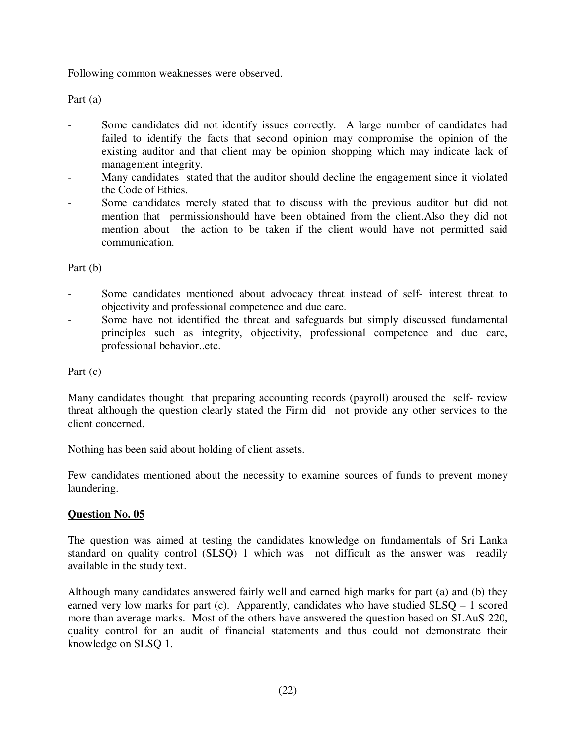Following common weaknesses were observed.

Part (a)

- Some candidates did not identify issues correctly. A large number of candidates had failed to identify the facts that second opinion may compromise the opinion of the existing auditor and that client may be opinion shopping which may indicate lack of management integrity.
- Many candidates stated that the auditor should decline the engagement since it violated the Code of Ethics.
- Some candidates merely stated that to discuss with the previous auditor but did not mention that permissionshould have been obtained from the client.Also they did not mention about the action to be taken if the client would have not permitted said communication.

Part (b)

- Some candidates mentioned about advocacy threat instead of self- interest threat to objectivity and professional competence and due care.
- Some have not identified the threat and safeguards but simply discussed fundamental principles such as integrity, objectivity, professional competence and due care, professional behavior..etc.

Part (c)

Many candidates thought that preparing accounting records (payroll) aroused the self- review threat although the question clearly stated the Firm did not provide any other services to the client concerned.

Nothing has been said about holding of client assets.

Few candidates mentioned about the necessity to examine sources of funds to prevent money laundering.

# **Question No. 05**

The question was aimed at testing the candidates knowledge on fundamentals of Sri Lanka standard on quality control (SLSQ) 1 which was not difficult as the answer was readily available in the study text.

Although many candidates answered fairly well and earned high marks for part (a) and (b) they earned very low marks for part (c). Apparently, candidates who have studied SLSQ – 1 scored more than average marks. Most of the others have answered the question based on SLAuS 220, quality control for an audit of financial statements and thus could not demonstrate their knowledge on SLSQ 1.